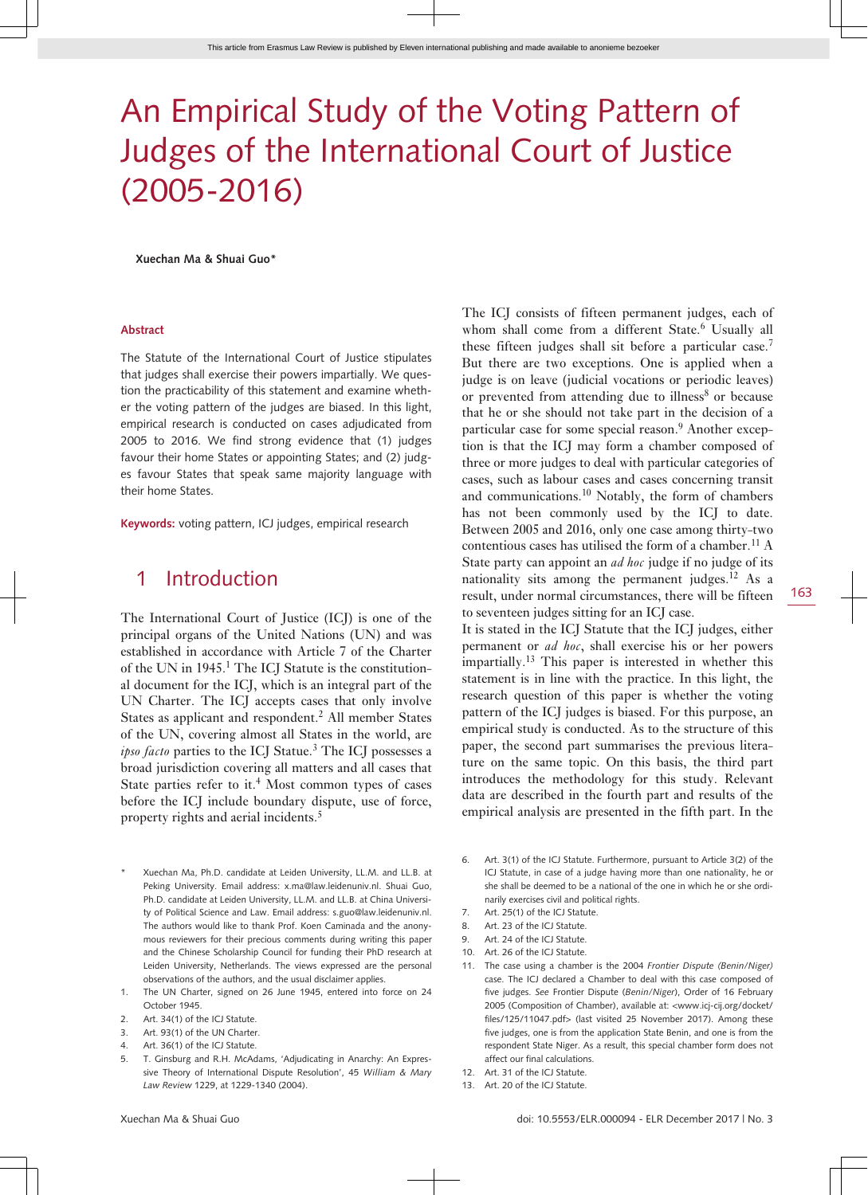# An Empirical Study of the Voting Pattern of Judges of the International Court of Justice (2005-2016)

**Xuechan Ma & Shuai Guo\***

#### **Abstract**

The Statute of the International Court of Justice stipulates that judges shall exercise their powers impartially. We question the practicability of this statement and examine whether the voting pattern of the judges are biased. In this light, empirical research is conducted on cases adjudicated from 2005 to 2016. We find strong evidence that (1) judges favour their home States or appointing States; and (2) judges favour States that speak same majority language with their home States.

**Keywords:** voting pattern, ICJ judges, empirical research

### 1 Introduction

The International Court of Justice (ICJ) is one of the principal organs of the United Nations (UN) and was established in accordance with Article 7 of the Charter of the UN in  $1945$ <sup>1</sup>. The ICJ Statute is the constitutional document for the ICJ, which is an integral part of the UN Charter. The ICJ accepts cases that only involve States as applicant and respondent.<sup>2</sup> All member States of the UN, covering almost all States in the world, are *ipso facto* parties to the ICJ Statue.<sup>3</sup> The ICJ possesses a broad jurisdiction covering all matters and all cases that State parties refer to it.<sup>4</sup> Most common types of cases before the ICJ include boundary dispute, use of force, property rights and aerial incidents.<sup>5</sup>

- Xuechan Ma, Ph.D. candidate at Leiden University, LL.M. and LL.B. at Peking University. Email address: x.ma@law.leidenuniv.nl. Shuai Guo, Ph.D. candidate at Leiden University, LL.M. and LL.B. at China University of Political Science and Law. Email address: s.guo@law.leidenuniv.nl. The authors would like to thank Prof. Koen Caminada and the anonymous reviewers for their precious comments during writing this paper and the Chinese Scholarship Council for funding their PhD research at Leiden University, Netherlands. The views expressed are the personal observations of the authors, and the usual disclaimer applies.
- 1. The UN Charter, signed on 26 June 1945, entered into force on 24 October 1945.
- Art. 34(1) of the ICJ Statute.
- 3. Art. 93(1) of the UN Charter.
- 4. Art. 36(1) of the ICJ Statute.
- 5. T. Ginsburg and R.H. McAdams, 'Adjudicating in Anarchy: An Expressive Theory of International Dispute Resolution', 45 *William & Mary Law Review* 1229, at 1229-1340 (2004).

The ICJ consists of fifteen permanent judges, each of whom shall come from a different State.<sup>6</sup> Usually all these fifteen judges shall sit before a particular case.<sup>7</sup> But there are two exceptions. One is applied when a judge is on leave (judicial vocations or periodic leaves) or prevented from attending due to illness<sup>8</sup> or because that he or she should not take part in the decision of a particular case for some special reason.<sup>9</sup> Another exception is that the ICJ may form a chamber composed of three or more judges to deal with particular categories of cases, such as labour cases and cases concerning transit and communications.10 Notably, the form of chambers has not been commonly used by the ICJ to date. Between 2005 and 2016, only one case among thirty-two contentious cases has utilised the form of a chamber.<sup>11</sup>  $\rm A$ State party can appoint an *ad hoc* judge if no judge of its nationality sits among the permanent judges.<sup>12</sup> As a result, under normal circumstances, there will be fifteen to seventeen judges sitting for an ICJ case.

It is stated in the ICJ Statute that the ICJ judges, either permanent or *ad hoc*, shall exercise his or her powers impartially.13 This paper is interested in whether this statement is in line with the practice. In this light, the research question of this paper is whether the voting pattern of the ICJ judges is biased. For this purpose, an empirical study is conducted. As to the structure of this paper, the second part summarises the previous literature on the same topic. On this basis, the third part introduces the methodology for this study. Relevant data are described in the fourth part and results of the empirical analysis are presented in the fifth part. In the

- 6. Art. 3(1) of the ICJ Statute. Furthermore, pursuant to Article 3(2) of the ICJ Statute, in case of a judge having more than one nationality, he or she shall be deemed to be a national of the one in which he or she ordinarily exercises civil and political rights.
- 7. Art. 25(1) of the ICJ Statute.
- 8. Art. 23 of the ICJ Statute.
- 9. Art. 24 of the ICJ Statute.
- 10. Art. 26 of the ICJ Statute.
- 11. The case using a chamber is the 2004 *Frontier Dispute (Benin/Niger)* case. The ICJ declared a Chamber to deal with this case composed of five judges. *See* Frontier Dispute (*Benin/Niger*), Order of 16 February 2005 (Composition of Chamber), available at: [<www. icj -cij. org/ docket/](http://www.icj-cij.org/docket/files/125/11047.pdf) files/125/11047.pdf> (last visited 25 November 2017). Among these five judges, one is from the application State Benin, and one is from the respondent State Niger. As a result, this special chamber form does not affect our final calculations.
- 12. Art. 31 of the ICJ Statute.
- 13. Art. 20 of the ICJ Statute.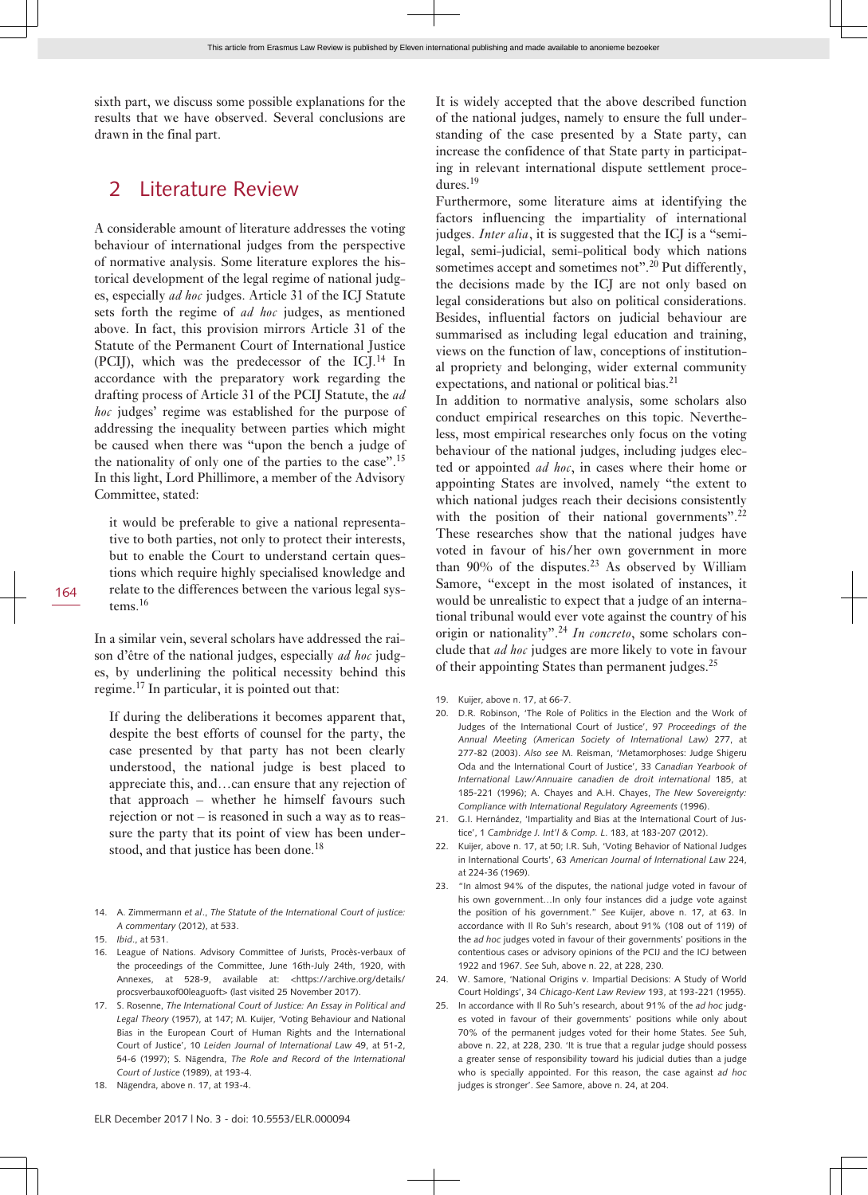sixth part, we discuss some possible explanations for the results that we have observed. Several conclusions are drawn in the final part.

## 2 Literature Review

A considerable amount of literature addresses the voting behaviour of international judges from the perspective of normative analysis. Some literature explores the historical development of the legal regime of national judges, especially *ad hoc* judges. Article 31 of the ICJ Statute sets forth the regime of *ad hoc* judges, as mentioned above. In fact, this provision mirrors Article 31 of the Statute of the Permanent Court of International Justice (PCIJ), which was the predecessor of the  $ICI<sup>14</sup>$  In accordance with the preparatory work regarding the drafting process of Article 31 of the PCIJ Statute, the *ad hoc* judges' regime was established for the purpose of addressing the inequality between parties which might be caused when there was "upon the bench a judge of the nationality of only one of the parties to the case".<sup>15</sup> In this light, Lord Phillimore, a member of the Advisory Committee, stated:

it would be preferable to give a national representative to both parties, not only to protect their interests, but to enable the Court to understand certain questions which require highly specialised knowledge and relate to the differences between the various legal systems.<sup>16</sup>

In a similar vein, several scholars have addressed the raison d'être of the national judges, especially *ad hoc* judges, by underlining the political necessity behind this regime.17 In particular, it is pointed out that:

If during the deliberations it becomes apparent that, despite the best efforts of counsel for the party, the case presented by that party has not been clearly understood, the national judge is best placed to appreciate this, and…can ensure that any rejection of that approach – whether he himself favours such rejection or not – is reasoned in such a way as to reassure the party that its point of view has been understood, and that justice has been done.<sup>18</sup>

- 14. A. Zimmermann *et al*., *The Statute of the International Court of justice: A commentary* (2012), at 533.
- 15. *Ibid*., at 531.
- 16. League of Nations. Advisory Committee of Jurists, Procès-verbaux of the proceedings of the Committee, June 16th-July 24th, 1920, with Annexes, at 528-9, available at: <https://archive.org/details/ [procsverbauxof00leaguoft](https://archive.org/details/procsverbauxof00leaguoft)> (last visited 25 November 2017).
- 17. S. Rosenne, *The International Court of Justice: An Essay in Political and Legal Theory* (1957), at 147; M. Kuijer, 'Voting Behaviour and National Bias in the European Court of Human Rights and the International Court of Justice', 10 *Leiden Journal of International Law* 49, at 51-2, 54-6 (1997); S. Nāgendra, *The Role and Record of the International Court of Justice* (1989), at 193-4.
- 18. Nāgendra, above n. 17, at 193-4.

It is widely accepted that the above described function of the national judges, namely to ensure the full understanding of the case presented by a State party, can increase the confidence of that State party in participating in relevant international dispute settlement procedures.<sup>19</sup>

Furthermore, some literature aims at identifying the factors influencing the impartiality of international judges. *Inter alia*, it is suggested that the ICJ is a "semilegal, semi-judicial, semi-political body which nations sometimes accept and sometimes not".<sup>20</sup> Put differently, the decisions made by the ICJ are not only based on legal considerations but also on political considerations. Besides, influential factors on judicial behaviour are summarised as including legal education and training, views on the function of law, conceptions of institutional propriety and belonging, wider external community expectations, and national or political bias.<sup>21</sup>

In addition to normative analysis, some scholars also conduct empirical researches on this topic. Nevertheless, most empirical researches only focus on the voting behaviour of the national judges, including judges elected or appointed *ad hoc*, in cases where their home or appointing States are involved, namely "the extent to which national judges reach their decisions consistently with the position of their national governments".<sup>22</sup> These researches show that the national judges have voted in favour of his/her own government in more than  $90\%$  of the disputes.<sup>23</sup> As observed by William Samore, "except in the most isolated of instances, it would be unrealistic to expect that a judge of an international tribunal would ever vote against the country of his origin or nationality".24 *In concreto*, some scholars conclude that *ad hoc* judges are more likely to vote in favour of their appointing States than permanent judges.<sup>25</sup>

- 19. Kuijer, above n. 17, at 66-7.
- 20. D.R. Robinson, 'The Role of Politics in the Election and the Work of Judges of the International Court of Justice', 97 *Proceedings of the Annual Meeting (American Society of International Law)* 277, at 277-82 (2003). *Also see* M. Reisman, 'Metamorphoses: Judge Shigeru Oda and the International Court of Justice', 33 *Canadian Yearbook of International Law/Annuaire canadien de droit international* 185, at 185-221 (1996); A. Chayes and A.H. Chayes, *The New Sovereignty: Compliance with International Regulatory Agreements* (1996).
- 21. G.I. Hernández, 'Impartiality and Bias at the International Court of Justice', 1 *Cambridge J. Int'l & Comp. L*. 183, at 183-207 (2012).
- 22. Kuijer, above n. 17, at 50; I.R. Suh, 'Voting Behavior of National Judges in International Courts', 63 *American Journal of International Law* 224, at 224-36 (1969)
- 23. "In almost 94% of the disputes, the national judge voted in favour of his own government…In only four instances did a judge vote against the position of his government." *See* Kuijer, above n. 17, at 63. In accordance with Il Ro Suh's research, about 91% (108 out of 119) of the *ad hoc* judges voted in favour of their governments' positions in the contentious cases or advisory opinions of the PCIJ and the ICJ between 1922 and 1967. *See* Suh, above n. 22, at 228, 230.
- 24. W. Samore, 'National Origins v. Impartial Decisions: A Study of World Court Holdings', 34 *Chicago-Kent Law Review* 193, at 193-221 (1955).
- 25. In accordance with Il Ro Suh's research, about 91% of the *ad hoc* judges voted in favour of their governments' positions while only about 70% of the permanent judges voted for their home States. *See* Suh, above n. 22, at 228, 230. 'It is true that a regular judge should possess a greater sense of responsibility toward his judicial duties than a judge who is specially appointed. For this reason, the case against *ad hoc* judges is stronger'. *See* Samore, above n. 24, at 204.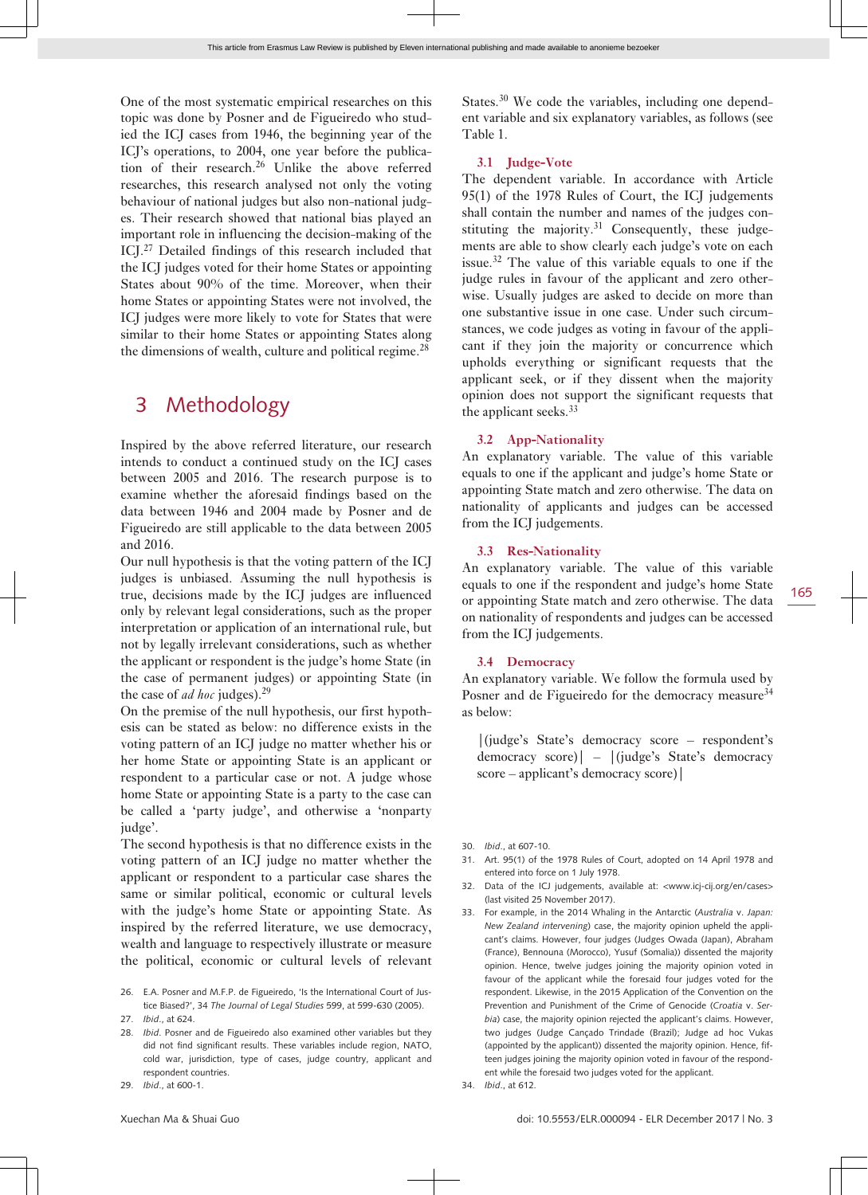One of the most systematic empirical researches on this topic was done by Posner and de Figueiredo who studied the ICJ cases from 1946, the beginning year of the ICJ's operations, to 2004, one year before the publication of their research.<sup>26</sup> Unlike the above referred researches, this research analysed not only the voting behaviour of national judges but also non-national judges. Their research showed that national bias played an important role in influencing the decision-making of the ICJ.<sup>27</sup> Detailed findings of this research included that the ICJ judges voted for their home States or appointing States about 90% of the time. Moreover, when their home States or appointing States were not involved, the ICJ judges were more likely to vote for States that were similar to their home States or appointing States along the dimensions of wealth, culture and political regime.<sup>28</sup>

### 3 Methodology

Inspired by the above referred literature, our research intends to conduct a continued study on the ICJ cases between 2005 and 2016. The research purpose is to examine whether the aforesaid findings based on the data between 1946 and 2004 made by Posner and de Figueiredo are still applicable to the data between 2005 and 2016.

Our null hypothesis is that the voting pattern of the ICJ judges is unbiased. Assuming the null hypothesis is true, decisions made by the ICJ judges are influenced only by relevant legal considerations, such as the proper interpretation or application of an international rule, but not by legally irrelevant considerations, such as whether the applicant or respondent is the judge's home State (in the case of permanent judges) or appointing State (in the case of *ad hoc* judges).<sup>29</sup>

On the premise of the null hypothesis, our first hypothesis can be stated as below: no difference exists in the voting pattern of an ICJ judge no matter whether his or her home State or appointing State is an applicant or respondent to a particular case or not. A judge whose home State or appointing State is a party to the case can be called a 'party judge', and otherwise a 'nonparty judge'.

The second hypothesis is that no difference exists in the voting pattern of an ICJ judge no matter whether the applicant or respondent to a particular case shares the same or similar political, economic or cultural levels with the judge's home State or appointing State. As inspired by the referred literature, we use democracy, wealth and language to respectively illustrate or measure the political, economic or cultural levels of relevant

States.30 We code the variables, including one dependent variable and six explanatory variables, as follows (see Table 1.

#### **3.1 Judge-Vote**

The dependent variable. In accordance with Article 95(1) of the 1978 Rules of Court, the ICJ judgements shall contain the number and names of the judges constituting the majority. $31$  Consequently, these judgements are able to show clearly each judge's vote on each issue.<sup>32</sup> The value of this variable equals to one if the judge rules in favour of the applicant and zero otherwise. Usually judges are asked to decide on more than one substantive issue in one case. Under such circumstances, we code judges as voting in favour of the applicant if they join the majority or concurrence which upholds everything or significant requests that the applicant seek, or if they dissent when the majority opinion does not support the significant requests that the applicant seeks.<sup>33</sup>

#### **3.2 App-Nationality**

An explanatory variable. The value of this variable equals to one if the applicant and judge's home State or appointing State match and zero otherwise. The data on nationality of applicants and judges can be accessed from the ICJ judgements.

#### **3.3 Res-Nationality**

An explanatory variable. The value of this variable equals to one if the respondent and judge's home State or appointing State match and zero otherwise. The data on nationality of respondents and judges can be accessed from the ICJ judgements.

#### **3.4 Democracy**

An explanatory variable. We follow the formula used by Posner and de Figueiredo for the democracy measure<sup>34</sup> as below:

|(judge's State's democracy score – respondent's democracy score)| – |(judge's State's democracy score – applicant's democracy score)|

- 31. Art. 95(1) of the 1978 Rules of Court, adopted on 14 April 1978 and entered into force on 1 July 1978.
- 32. Data of the ICJ judgements, available at: <www.icj-cij.org/en/cases> (last visited 25 November 2017).
- 33. For example, in the 2014 Whaling in the Antarctic (*Australia* v. *Japan: New Zealand intervening*) case, the majority opinion upheld the applicant's claims. However, four judges (Judges Owada (Japan), Abraham (France), Bennouna (Morocco), Yusuf (Somalia)) dissented the majority opinion. Hence, twelve judges joining the majority opinion voted in favour of the applicant while the foresaid four judges voted for the respondent. Likewise, in the 2015 Application of the Convention on the Prevention and Punishment of the Crime of Genocide (*Croatia* v. *Serbia*) case, the majority opinion rejected the applicant's claims. However, two judges (Judge Cançado Trindade (Brazil); Judge ad hoc Vukas (appointed by the applicant)) dissented the majority opinion. Hence, fifteen judges joining the majority opinion voted in favour of the respondent while the foresaid two judges voted for the applicant.
- 34. *Ibid*., at 612.

<sup>26.</sup> E.A. Posner and M.F.P. de Figueiredo, 'Is the International Court of Justice Biased?', 34 *The Journal of Legal Studies* 599, at 599-630 (2005).

<sup>27.</sup> *Ibid*., at 624.

<sup>28.</sup> *Ibid*. Posner and de Figueiredo also examined other variables but they did not find significant results. These variables include region, NATO, cold war, jurisdiction, type of cases, judge country, applicant and respondent countries.

<sup>29.</sup> *Ibid*., at 600-1.

<sup>30.</sup> *Ibid*., at 607-10.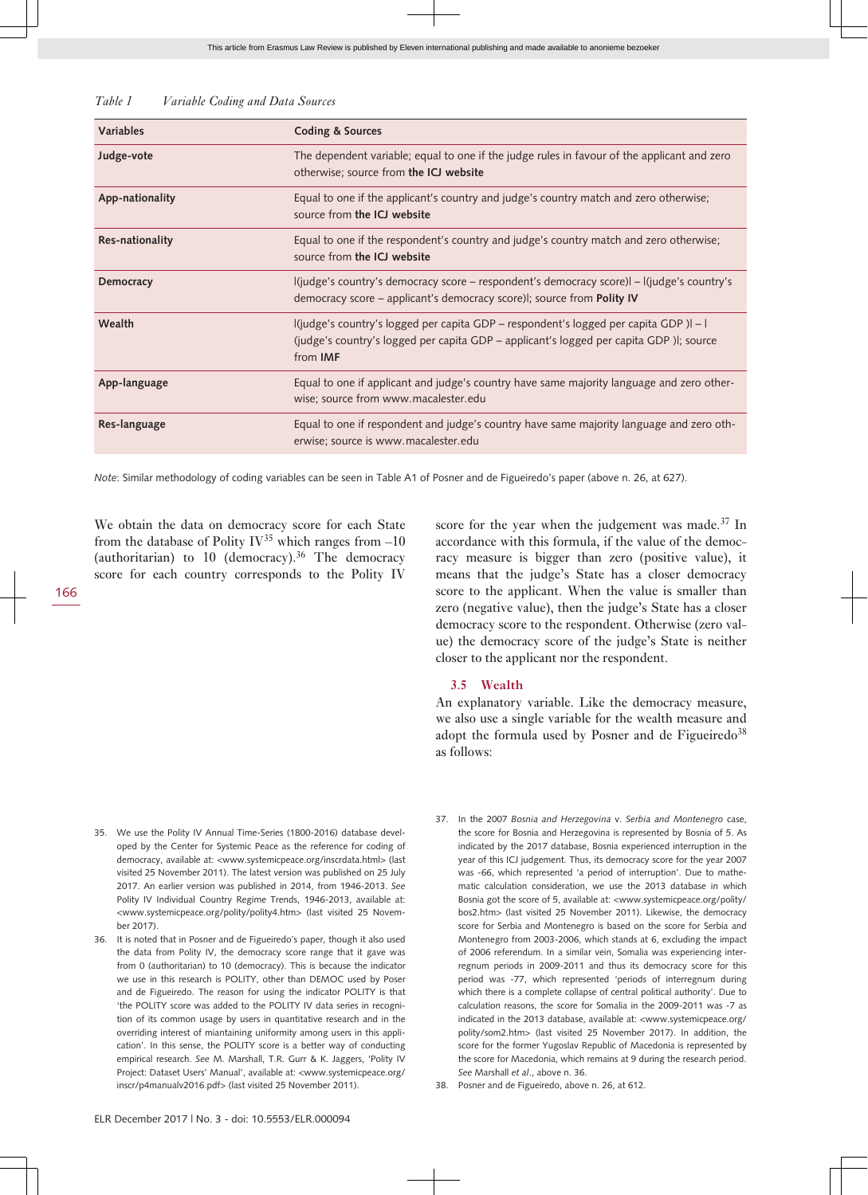| Variable Coding and Data Sources | Table 1 |  |  |  |  |
|----------------------------------|---------|--|--|--|--|
|----------------------------------|---------|--|--|--|--|

| Variables        | <b>Coding &amp; Sources</b>                                                                                                                                                                         |
|------------------|-----------------------------------------------------------------------------------------------------------------------------------------------------------------------------------------------------|
| Judge-vote       | The dependent variable; equal to one if the judge rules in favour of the applicant and zero<br>otherwise; source from the ICJ website                                                               |
| App-nationality  | Equal to one if the applicant's country and judge's country match and zero otherwise;<br>source from the ICJ website                                                                                |
| Res-nationality  | Equal to one if the respondent's country and judge's country match and zero otherwise;<br>source from the ICJ website                                                                               |
| <b>Democracy</b> | l(judge's country's democracy score - respondent's democracy score)  - l(judge's country's<br>democracy score – applicant's democracy score), source from <b>Polity IV</b>                          |
| Wealth           | l(judge's country's logged per capita GDP – respondent's logged per capita GDP )l – l<br>(judge's country's logged per capita GDP – applicant's logged per capita GDP)  ; source<br>from <b>IMF</b> |
| App-language     | Equal to one if applicant and judge's country have same majority language and zero other-<br>wise; source from www.macalester.edu                                                                   |
| Res-language     | Equal to one if respondent and judge's country have same majority language and zero oth-<br>erwise; source is www.macalester.edu                                                                    |

*Note*: Similar methodology of coding variables can be seen in Table A1 of Posner and de Figueiredo's paper (above n. 26, at 627).

We obtain the data on democracy score for each State from the database of Polity IV<sup>35</sup> which ranges from  $-10$ (authoritarian) to 10 (democracy).<sup>36</sup> The democracy score for each country corresponds to the Polity IV

score for the year when the judgement was made.<sup>37</sup> In accordance with this formula, if the value of the democracy measure is bigger than zero (positive value), it means that the judge's State has a closer democracy score to the applicant. When the value is smaller than zero (negative value), then the judge's State has a closer democracy score to the respondent. Otherwise (zero value) the democracy score of the judge's State is neither closer to the applicant nor the respondent.

#### **3.5 Wealth**

An explanatory variable. Like the democracy measure, we also use a single variable for the wealth measure and adopt the formula used by Posner and de Figueiredo<sup>38</sup> as follows:

- 35. We use the Polity IV Annual Time-Series (1800-2016) database developed by the Center for Systemic Peace as the reference for coding of democracy, available at: [<www. systemicpeace. org/ inscrdata. html](http://www.systemicpeace.org/inscrdata.html)> (last visited 25 November 2011). The latest version was published on 25 July 2017. An earlier version was published in 2014, from 1946-2013. *See* Polity IV Individual Country Regime Trends, 1946-2013, available at: <[www. systemicpeace. org/ polity/ polity4. htm](http://www.systemicpeace.org/polity/polity4.htm)> (last visited 25 November 2017).
- 36. It is noted that in Posner and de Figueiredo's paper, though it also used the data from Polity IV, the democracy score range that it gave was from 0 (authoritarian) to 10 (democracy). This is because the indicator we use in this research is POLITY, other than DEMOC used by Poser and de Figueiredo. The reason for using the indicator POLITY is that 'the POLITY score was added to the POLITY IV data series in recognition of its common usage by users in quantitative research and in the overriding interest of miantaining uniformity among users in this application'. In this sense, the POLITY score is a better way of conducting empirical research. *See* M. Marshall, T.R. Gurr & K. Jaggers, 'Polity IV Project: Dataset Users' Manual', available at: [<www. systemicpeace. org/](http://www.systemicpeace.org/inscr/p4manualv2016.pdf) inscr/p4manualv2016.pdf> (last visited 25 November 2011).
- 37. In the 2007 *Bosnia and Herzegovina* v. *Serbia and Montenegro* case, the score for Bosnia and Herzegovina is represented by Bosnia of 5. As indicated by the 2017 database, Bosnia experienced interruption in the year of this ICJ judgement. Thus, its democracy score for the year 2007 was -66, which represented 'a period of interruption'. Due to mathematic calculation consideration, we use the 2013 database in which Bosnia got the score of 5, available at: <www.systemicpeace.org/polity/ [bos2. htm](http://www.systemicpeace.org/polity/bos2.htm)> (last visited 25 November 2011). Likewise, the democracy score for Serbia and Montenegro is based on the score for Serbia and Montenegro from 2003-2006, which stands at 6, excluding the impact of 2006 referendum. In a similar vein, Somalia was experiencing interregnum periods in 2009-2011 and thus its democracy score for this period was -77, which represented 'periods of interregnum during which there is a complete collapse of central political authority'. Due to calculation reasons, the score for Somalia in the 2009-2011 was -7 as indicated in the 2013 database, available at: <[www. systemicpeace. org/](http://www.systemicpeace.org/polity/som2.htm) polity/som2.htm> (last visited 25 November 2017). In addition, the score for the former Yugoslav Republic of Macedonia is represented by the score for Macedonia, which remains at 9 during the research period. *See* Marshall *et al*., above n. 36.
- 38. Posner and de Figueiredo, above n. 26, at 612.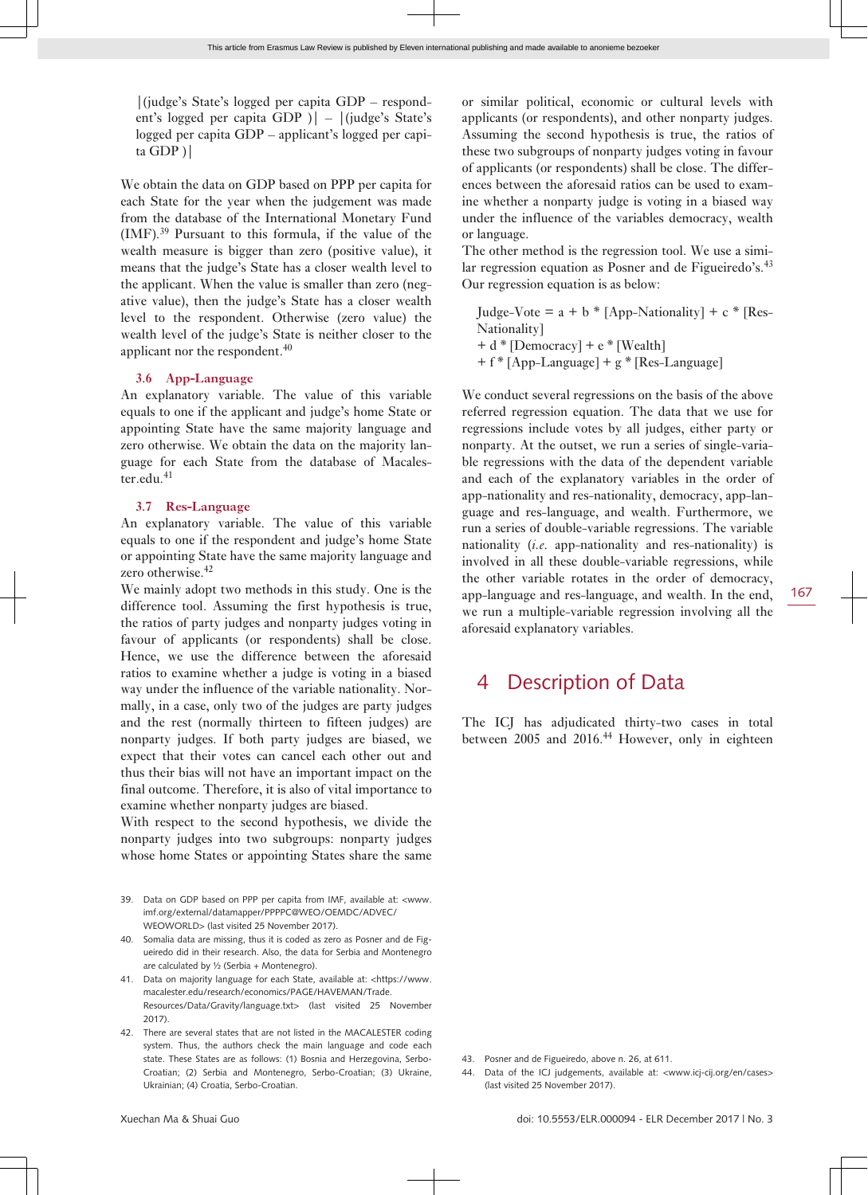|(judge's State's logged per capita GDP – respondent's logged per capita GDP )| – |(judge's State's logged per capita GDP – applicant's logged per capita GDP )|

We obtain the data on GDP based on PPP per capita for each State for the year when the judgement was made from the database of the International Monetary Fund (IMF).<sup>39</sup> Pursuant to this formula, if the value of the wealth measure is bigger than zero (positive value), it means that the judge's State has a closer wealth level to the applicant. When the value is smaller than zero (negative value), then the judge's State has a closer wealth level to the respondent. Otherwise (zero value) the wealth level of the judge's State is neither closer to the applicant nor the respondent.<sup>40</sup>

#### **3.6 App-Language**

An explanatory variable. The value of this variable equals to one if the applicant and judge's home State or appointing State have the same majority language and zero otherwise. We obtain the data on the majority language for each State from the database of Macalester.edu.<sup>41</sup>

#### **3.7 Res-Language**

An explanatory variable. The value of this variable equals to one if the respondent and judge's home State or appointing State have the same majority language and zero otherwise.<sup>42</sup>

We mainly adopt two methods in this study. One is the difference tool. Assuming the first hypothesis is true, the ratios of party judges and nonparty judges voting in favour of applicants (or respondents) shall be close. Hence, we use the difference between the aforesaid ratios to examine whether a judge is voting in a biased way under the influence of the variable nationality. Normally, in a case, only two of the judges are party judges and the rest (normally thirteen to fifteen judges) are nonparty judges. If both party judges are biased, we expect that their votes can cancel each other out and thus their bias will not have an important impact on the final outcome. Therefore, it is also of vital importance to examine whether nonparty judges are biased.

With respect to the second hypothesis, we divide the nonparty judges into two subgroups: nonparty judges whose home States or appointing States share the same

- 39. Data on GDP based on PPP per capita from IMF, available at: <[www.](http://www.imf.org/external/datamapper/PPPPC@WEO/OEMDC/ADVEC/WEOWORLD) [imf. org/ external/ datamapper/ PPPPC@WEO/ OEMDC/ ADVEC/](http://www.imf.org/external/datamapper/PPPPC@WEO/OEMDC/ADVEC/WEOWORLD) [WEOWORLD](http://www.imf.org/external/datamapper/PPPPC@WEO/OEMDC/ADVEC/WEOWORLD)> (last visited 25 November 2017).
- 40. Somalia data are missing, thus it is coded as zero as Posner and de Figueiredo did in their research. Also, the data for Serbia and Montenegro are calculated by ½ (Serbia + Montenegro).
- 41. Data on majority language for each State, available at: <[https:// www.](https://www.macalester.edu/research/economics/PAGE/HAVEMAN/Trade.Resources/Data/Gravity/language.txt) macalester.edu/research/economics/PAGE/HAVEMAN/Trade. Resources/Data/Gravity/language.txt> (last visited 25 November 2017).
- 42. There are several states that are not listed in the MACALESTER coding system. Thus, the authors check the main language and code each state. These States are as follows: (1) Bosnia and Herzegovina, Serbo-Croatian; (2) Serbia and Montenegro, Serbo-Croatian; (3) Ukraine, Ukrainian; (4) Croatia, Serbo-Croatian.

or similar political, economic or cultural levels with applicants (or respondents), and other nonparty judges. Assuming the second hypothesis is true, the ratios of these two subgroups of nonparty judges voting in favour of applicants (or respondents) shall be close. The differences between the aforesaid ratios can be used to examine whether a nonparty judge is voting in a biased way under the influence of the variables democracy, wealth or language.

The other method is the regression tool. We use a similar regression equation as Posner and de Figueiredo's. $43$ Our regression equation is as below:

Judge-Vote =  $a + b * [App-Nationality] + c * [Res-$ Nationality]  $+ d * [Democrac{v}]+ e * [Wealth]$ + f \* [App-Language] + g \* [Res-Language]

We conduct several regressions on the basis of the above referred regression equation. The data that we use for regressions include votes by all judges, either party or nonparty. At the outset, we run a series of single-variable regressions with the data of the dependent variable and each of the explanatory variables in the order of app-nationality and res-nationality, democracy, app-language and res-language, and wealth. Furthermore, we run a series of double-variable regressions. The variable nationality (*i.e.* app-nationality and res-nationality) is involved in all these double-variable regressions, while the other variable rotates in the order of democracy, app-language and res-language, and wealth. In the end, we run a multiple-variable regression involving all the aforesaid explanatory variables.

### 4 Description of Data

The ICJ has adjudicated thirty-two cases in total between 2005 and 2016.<sup>44</sup> However, only in eighteen

- 43. Posner and de Figueiredo, above n. 26, at 611.
- 44. Data of the ICJ judgements, available at: <www.icj-cij.org/en/cases> (last visited 25 November 2017).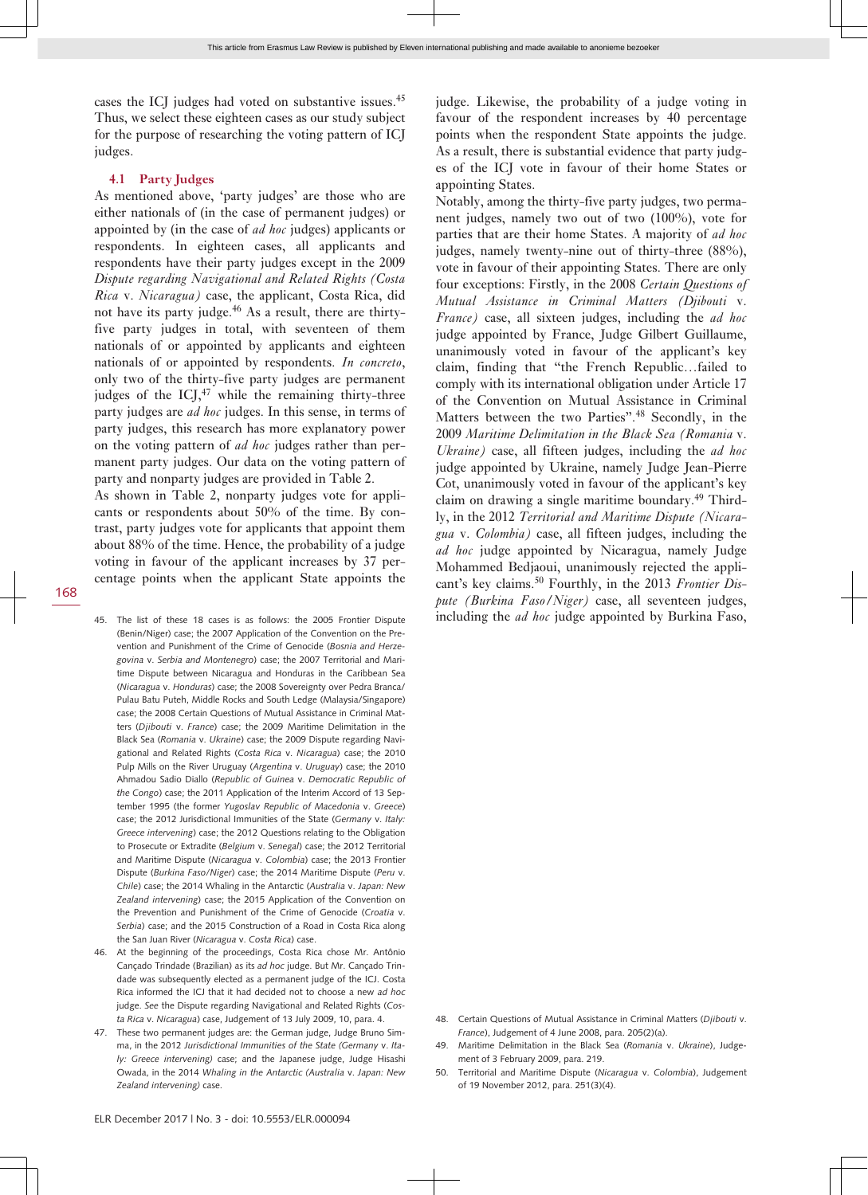cases the ICJ judges had voted on substantive issues.<sup>45</sup> Thus, we select these eighteen cases as our study subject for the purpose of researching the voting pattern of ICJ judges.

#### **4.1 Party Judges**

As mentioned above, 'party judges' are those who are either nationals of (in the case of permanent judges) or appointed by (in the case of *ad hoc* judges) applicants or respondents. In eighteen cases, all applicants and respondents have their party judges except in the 2009 *Dispute regarding Navigational and Related Rights (Costa Rica* v. *Nicaragua)* case, the applicant, Costa Rica, did not have its party judge.46 As a result, there are thirtyfive party judges in total, with seventeen of them nationals of or appointed by applicants and eighteen nationals of or appointed by respondents. *In concreto*, only two of the thirty-five party judges are permanent judges of the ICJ, $47$  while the remaining thirty-three party judges are *ad hoc* judges. In this sense, in terms of party judges, this research has more explanatory power on the voting pattern of *ad hoc* judges rather than permanent party judges. Our data on the voting pattern of party and nonparty judges are provided in Table 2.

As shown in Table 2, nonparty judges vote for applicants or respondents about 50% of the time. By contrast, party judges vote for applicants that appoint them about 88% of the time. Hence, the probability of a judge voting in favour of the applicant increases by 37 percentage points when the applicant State appoints the

- 45. The list of these 18 cases is as follows: the 2005 Frontier Dispute (Benin/Niger) case; the 2007 Application of the Convention on the Prevention and Punishment of the Crime of Genocide (*Bosnia and Herzegovina* v. *Serbia and Montenegro*) case; the 2007 Territorial and Maritime Dispute between Nicaragua and Honduras in the Caribbean Sea (*Nicaragua* v. *Honduras*) case; the 2008 Sovereignty over Pedra Branca/ Pulau Batu Puteh, Middle Rocks and South Ledge (Malaysia/Singapore) case; the 2008 Certain Questions of Mutual Assistance in Criminal Matters (*Djibouti* v. *France*) case; the 2009 Maritime Delimitation in the Black Sea (*Romania* v. *Ukraine*) case; the 2009 Dispute regarding Navigational and Related Rights (*Costa Rica* v. *Nicaragua*) case; the 2010 Pulp Mills on the River Uruguay (*Argentina* v. *Uruguay*) case; the 2010 Ahmadou Sadio Diallo (*Republic of Guinea* v. *Democratic Republic of the Congo*) case; the 2011 Application of the Interim Accord of 13 September 1995 (the former *Yugoslav Republic of Macedonia* v. *Greece*) case; the 2012 Jurisdictional Immunities of the State (*Germany* v. *Italy: Greece intervening*) case; the 2012 Questions relating to the Obligation to Prosecute or Extradite (*Belgium* v. *Senegal*) case; the 2012 Territorial and Maritime Dispute (*Nicaragua* v. *Colombia*) case; the 2013 Frontier Dispute (*Burkina Faso/Niger*) case; the 2014 Maritime Dispute (*Peru* v. *Chile*) case; the 2014 Whaling in the Antarctic (*Australia* v. *Japan: New Zealand intervening*) case; the 2015 Application of the Convention on the Prevention and Punishment of the Crime of Genocide (*Croatia* v. *Serbia*) case; and the 2015 Construction of a Road in Costa Rica along the San Juan River (*Nicaragua* v. *Costa Rica*) case.
- 46. At the beginning of the proceedings, Costa Rica chose Mr. Antônio Cançado Trindade (Brazilian) as its *ad hoc* judge. But Mr. Cançado Trindade was subsequently elected as a permanent judge of the ICJ. Costa Rica informed the ICJ that it had decided not to choose a new *ad hoc* judge. *See* the Dispute regarding Navigational and Related Rights (*Costa Rica* v. *Nicaragua*) case, Judgement of 13 July 2009, 10, para. 4.
- 47. These two permanent judges are: the German judge, Judge Bruno Simma, in the 2012 *Jurisdictional Immunities of the State (Germany* v. *Italy: Greece intervening)* case; and the Japanese judge, Judge Hisashi Owada, in the 2014 *Whaling in the Antarctic (Australia* v. *Japan: New Zealand intervening)* case.

judge. Likewise, the probability of a judge voting in favour of the respondent increases by 40 percentage points when the respondent State appoints the judge. As a result, there is substantial evidence that party judges of the ICJ vote in favour of their home States or appointing States.

Notably, among the thirty-five party judges, two permanent judges, namely two out of two (100%), vote for parties that are their home States. A majority of *ad hoc* judges, namely twenty-nine out of thirty-three (88%), vote in favour of their appointing States. There are only four exceptions: Firstly, in the 2008 *Certain Questions of Mutual Assistance in Criminal Matters (Djibouti* v. *France)* case, all sixteen judges, including the *ad hoc* judge appointed by France, Judge Gilbert Guillaume, unanimously voted in favour of the applicant's key claim, finding that "the French Republic…failed to comply with its international obligation under Article 17 of the Convention on Mutual Assistance in Criminal Matters between the two Parties".<sup>48</sup> Secondly, in the 2009 *Maritime Delimitation in the Black Sea (Romania* v. *Ukraine)* case, all fifteen judges, including the *ad hoc* judge appointed by Ukraine, namely Judge Jean-Pierre Cot, unanimously voted in favour of the applicant's key claim on drawing a single maritime boundary.<sup>49</sup> Thirdly, in the 2012 *Territorial and Maritime Dispute (Nicaragua* v. *Colombia)* case, all fifteen judges, including the *ad hoc* judge appointed by Nicaragua, namely Judge Mohammed Bedjaoui, unanimously rejected the applicant's key claims.50 Fourthly, in the 2013 *Frontier Dispute (Burkina Faso/Niger)* case, all seventeen judges, including the *ad hoc* judge appointed by Burkina Faso,

- 48. Certain Questions of Mutual Assistance in Criminal Matters (*Djibouti* v. *France*), Judgement of 4 June 2008, para. 205(2)(a).
- 49. Maritime Delimitation in the Black Sea (*Romania* v. *Ukraine*), Judgement of 3 February 2009, para. 219.
- 50. Territorial and Maritime Dispute (*Nicaragua* v. *Colombia*), Judgement of 19 November 2012, para. 251(3)(4).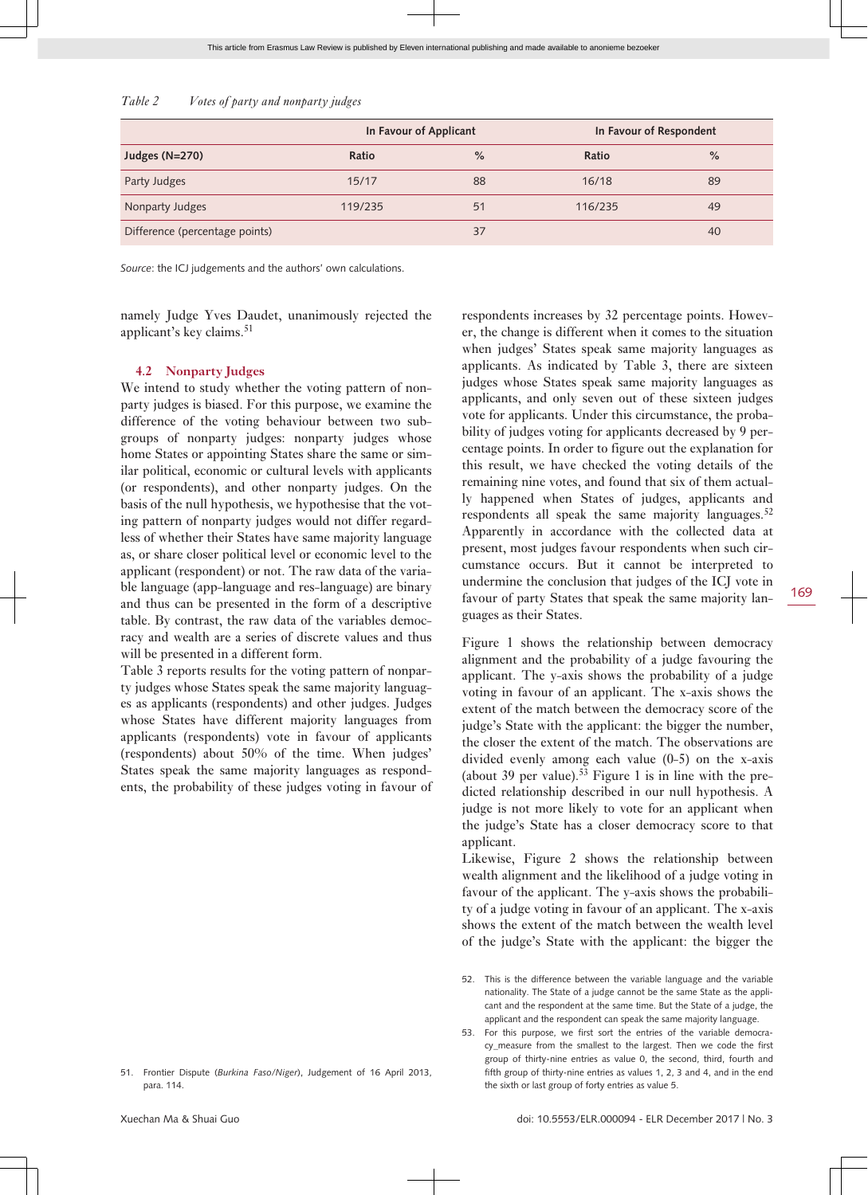| Table 2 |  |  | Votes of party and nonparty judges |  |
|---------|--|--|------------------------------------|--|
|         |  |  |                                    |  |

|                                | In Favour of Applicant |               | In Favour of Respondent |               |  |
|--------------------------------|------------------------|---------------|-------------------------|---------------|--|
| Judges (N=270)                 | Ratio                  | $\frac{9}{6}$ | Ratio                   | $\frac{0}{0}$ |  |
| Party Judges                   | 15/17                  | 88            | 16/18                   | 89            |  |
| Nonparty Judges                | 119/235                | 51            | 116/235                 | 49            |  |
| Difference (percentage points) |                        | 37            |                         | 40            |  |

*Source*: the ICJ judgements and the authors' own calculations.

namely Judge Yves Daudet, unanimously rejected the applicant's key claims.<sup>51</sup>

#### **4.2 Nonparty Judges**

We intend to study whether the voting pattern of nonparty judges is biased. For this purpose, we examine the difference of the voting behaviour between two subgroups of nonparty judges: nonparty judges whose home States or appointing States share the same or similar political, economic or cultural levels with applicants (or respondents), and other nonparty judges. On the basis of the null hypothesis, we hypothesise that the voting pattern of nonparty judges would not differ regardless of whether their States have same majority language as, or share closer political level or economic level to the applicant (respondent) or not. The raw data of the variable language (app-language and res-language) are binary and thus can be presented in the form of a descriptive table. By contrast, the raw data of the variables democracy and wealth are a series of discrete values and thus will be presented in a different form.

Table 3 reports results for the voting pattern of nonparty judges whose States speak the same majority languages as applicants (respondents) and other judges. Judges whose States have different majority languages from applicants (respondents) vote in favour of applicants (respondents) about 50% of the time. When judges' States speak the same majority languages as respondents, the probability of these judges voting in favour of

51. Frontier Dispute (*Burkina Faso/Niger*), Judgement of 16 April 2013, para. 114.

respondents increases by 32 percentage points. However, the change is different when it comes to the situation when judges' States speak same majority languages as applicants. As indicated by Table 3, there are sixteen judges whose States speak same majority languages as applicants, and only seven out of these sixteen judges vote for applicants. Under this circumstance, the probability of judges voting for applicants decreased by 9 percentage points. In order to figure out the explanation for this result, we have checked the voting details of the remaining nine votes, and found that six of them actually happened when States of judges, applicants and respondents all speak the same majority languages.<sup>52</sup> Apparently in accordance with the collected data at present, most judges favour respondents when such circumstance occurs. But it cannot be interpreted to undermine the conclusion that judges of the ICJ vote in favour of party States that speak the same majority languages as their States.

Figure 1 shows the relationship between democracy alignment and the probability of a judge favouring the applicant. The y-axis shows the probability of a judge voting in favour of an applicant. The x-axis shows the extent of the match between the democracy score of the judge's State with the applicant: the bigger the number, the closer the extent of the match. The observations are divided evenly among each value (0-5) on the x-axis (about 39 per value).<sup>53</sup> Figure 1 is in line with the predicted relationship described in our null hypothesis. A judge is not more likely to vote for an applicant when the judge's State has a closer democracy score to that applicant.

Likewise, Figure 2 shows the relationship between wealth alignment and the likelihood of a judge voting in favour of the applicant. The y-axis shows the probability of a judge voting in favour of an applicant. The x-axis shows the extent of the match between the wealth level of the judge's State with the applicant: the bigger the

<sup>52.</sup> This is the difference between the variable language and the variable nationality. The State of a judge cannot be the same State as the applicant and the respondent at the same time. But the State of a judge, the applicant and the respondent can speak the same majority language.

<sup>53.</sup> For this purpose, we first sort the entries of the variable democracy\_measure from the smallest to the largest. Then we code the first group of thirty-nine entries as value 0, the second, third, fourth and fifth group of thirty-nine entries as values 1, 2, 3 and 4, and in the end the sixth or last group of forty entries as value 5.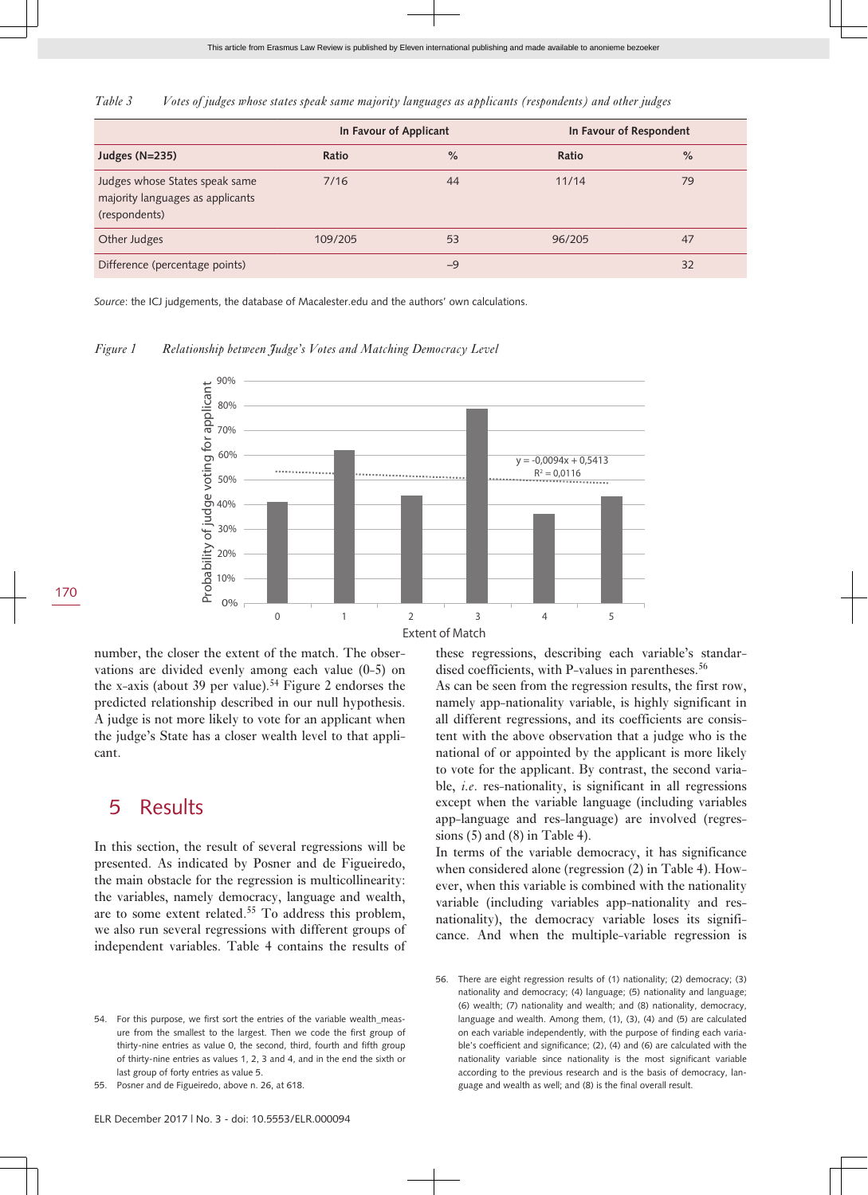*Table 3 Votes of judges whose states speak same majority languages as applicants (respondents) and other judges*

|                                                                                     | In Favour of Applicant |               | In Favour of Respondent |               |  |
|-------------------------------------------------------------------------------------|------------------------|---------------|-------------------------|---------------|--|
| Judges (N=235)                                                                      | Ratio                  | $\frac{9}{6}$ | Ratio                   | $\frac{9}{6}$ |  |
| Judges whose States speak same<br>majority languages as applicants<br>(respondents) | 7/16                   | 44            | 11/14                   | 79            |  |
| Other Judges                                                                        | 109/205                | 53            | 96/205                  | 47            |  |
| Difference (percentage points)                                                      |                        | $-9$          |                         | 32            |  |

*Source*: the ICJ judgements, the database of Macalester.edu and the authors' own calculations.

*Figure 1 Relationship between Judge's Votes and Matching Democracy Level*



number, the closer the extent of the match. The observations are divided evenly among each value (0-5) on the x-axis (about 39 per value).<sup>54</sup> Figure 2 endorses the predicted relationship described in our null hypothesis. A judge is not more likely to vote for an applicant when the judge's State has a closer wealth level to that applicant.

### 5 Results

In this section, the result of several regressions will be presented. As indicated by Posner and de Figueiredo, the main obstacle for the regression is multicollinearity: the variables, namely democracy, language and wealth, are to some extent related.55 To address this problem, we also run several regressions with different groups of independent variables. Table 4 contains the results of

For this purpose, we first sort the entries of the variable wealth\_measure from the smallest to the largest. Then we code the first group of thirty-nine entries as value 0, the second, third, fourth and fifth group of thirty-nine entries as values 1, 2, 3 and 4, and in the end the sixth or last group of forty entries as value 5.

55. Posner and de Figueiredo, above n. 26, at 618.

these regressions, describing each variable's standardised coefficients, with P-values in parentheses.<sup>56</sup>

As can be seen from the regression results, the first row, namely app-nationality variable, is highly significant in all different regressions, and its coefficients are consistent with the above observation that a judge who is the national of or appointed by the applicant is more likely to vote for the applicant. By contrast, the second variable, *i.e*. res-nationality, is significant in all regressions except when the variable language (including variables app-language and res-language) are involved (regressions  $(5)$  and  $(8)$  in Table 4).

In terms of the variable democracy, it has significance when considered alone (regression (2) in Table 4). However, when this variable is combined with the nationality variable (including variables app-nationality and resnationality), the democracy variable loses its significance. And when the multiple-variable regression is

<sup>56.</sup> There are eight regression results of (1) nationality; (2) democracy; (3) nationality and democracy; (4) language; (5) nationality and language; (6) wealth; (7) nationality and wealth; and (8) nationality, democracy, language and wealth. Among them, (1), (3), (4) and (5) are calculated on each variable independently, with the purpose of finding each variable's coefficient and significance; (2), (4) and (6) are calculated with the nationality variable since nationality is the most significant variable according to the previous research and is the basis of democracy, language and wealth as well; and (8) is the final overall result.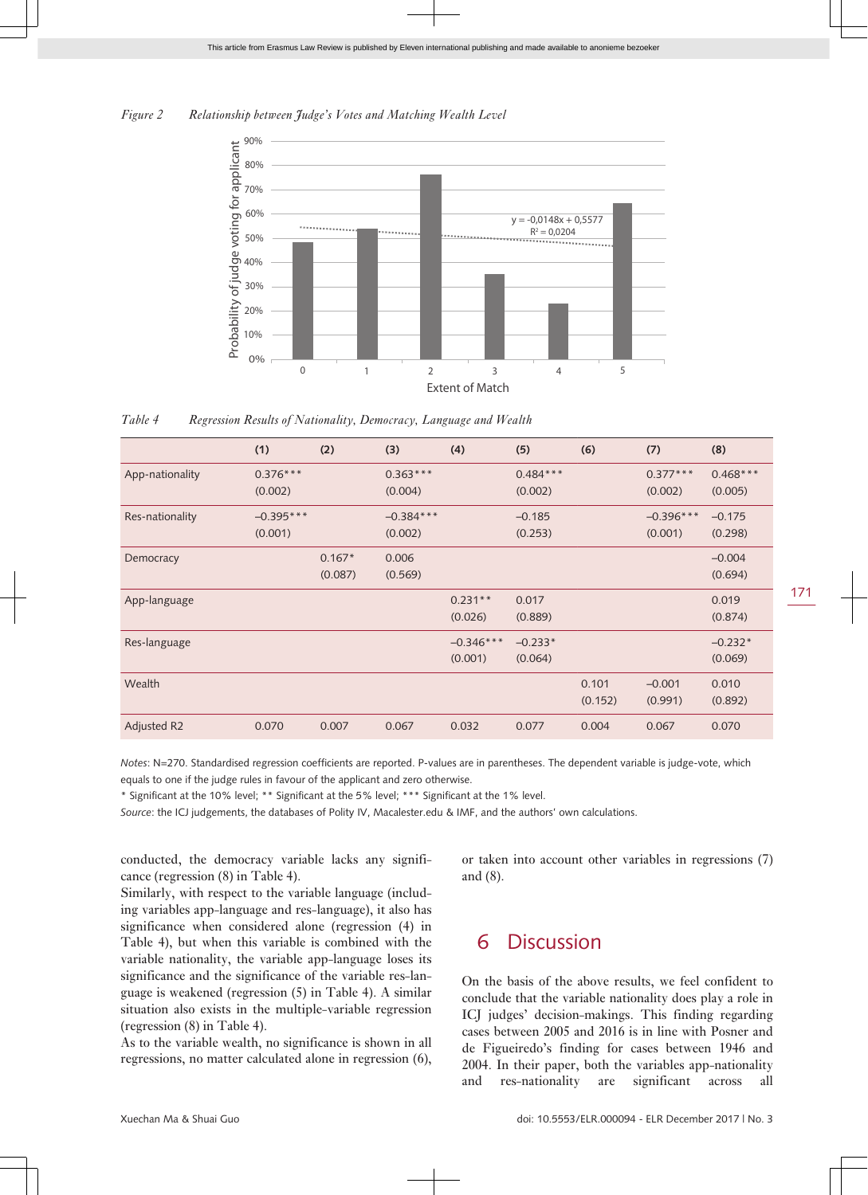



*Table 4 Regression Results of Nationality, Democracy, Language and Wealth*

|                 | (1)                    | (2)                 | (3)                    | (4)                    | (5)                   | (6)              | (7)                    | (8)                   |
|-----------------|------------------------|---------------------|------------------------|------------------------|-----------------------|------------------|------------------------|-----------------------|
| App-nationality | $0.376***$<br>(0.002)  |                     | $0.363***$<br>(0.004)  |                        | $0.484***$<br>(0.002) |                  | $0.377***$<br>(0.002)  | $0.468***$<br>(0.005) |
| Res-nationality | $-0.395***$<br>(0.001) |                     | $-0.384***$<br>(0.002) |                        | $-0.185$<br>(0.253)   |                  | $-0.396***$<br>(0.001) | $-0.175$<br>(0.298)   |
| Democracy       |                        | $0.167*$<br>(0.087) | 0.006<br>(0.569)       |                        |                       |                  |                        | $-0.004$<br>(0.694)   |
| App-language    |                        |                     |                        | $0.231**$<br>(0.026)   | 0.017<br>(0.889)      |                  |                        | 0.019<br>(0.874)      |
| Res-language    |                        |                     |                        | $-0.346***$<br>(0.001) | $-0.233*$<br>(0.064)  |                  |                        | $-0.232*$<br>(0.069)  |
| Wealth          |                        |                     |                        |                        |                       | 0.101<br>(0.152) | $-0.001$<br>(0.991)    | 0.010<br>(0.892)      |
| Adjusted R2     | 0.070                  | 0.007               | 0.067                  | 0.032                  | 0.077                 | 0.004            | 0.067                  | 0.070                 |

*Notes*: N=270. Standardised regression coefficients are reported. P-values are in parentheses. The dependent variable is judge-vote, which equals to one if the judge rules in favour of the applicant and zero otherwise.

\* Significant at the 10% level; \*\* Significant at the 5% level; \*\*\* Significant at the 1% level.

*Source*: the ICJ judgements, the databases of Polity IV, Macalester.edu & IMF, and the authors' own calculations.

conducted, the democracy variable lacks any significance (regression (8) in Table 4).

Similarly, with respect to the variable language (including variables app-language and res-language), it also has significance when considered alone (regression (4) in Table 4), but when this variable is combined with the variable nationality, the variable app-language loses its significance and the significance of the variable res-language is weakened (regression (5) in Table 4). A similar situation also exists in the multiple-variable regression (regression (8) in Table 4).

As to the variable wealth, no significance is shown in all regressions, no matter calculated alone in regression (6),

or taken into account other variables in regressions (7) and (8).

### 6 Discussion

On the basis of the above results, we feel confident to conclude that the variable nationality does play a role in ICJ judges' decision-makings. This finding regarding cases between 2005 and 2016 is in line with Posner and de Figueiredo's finding for cases between 1946 and 2004. In their paper, both the variables app-nationality and res-nationality are significant across all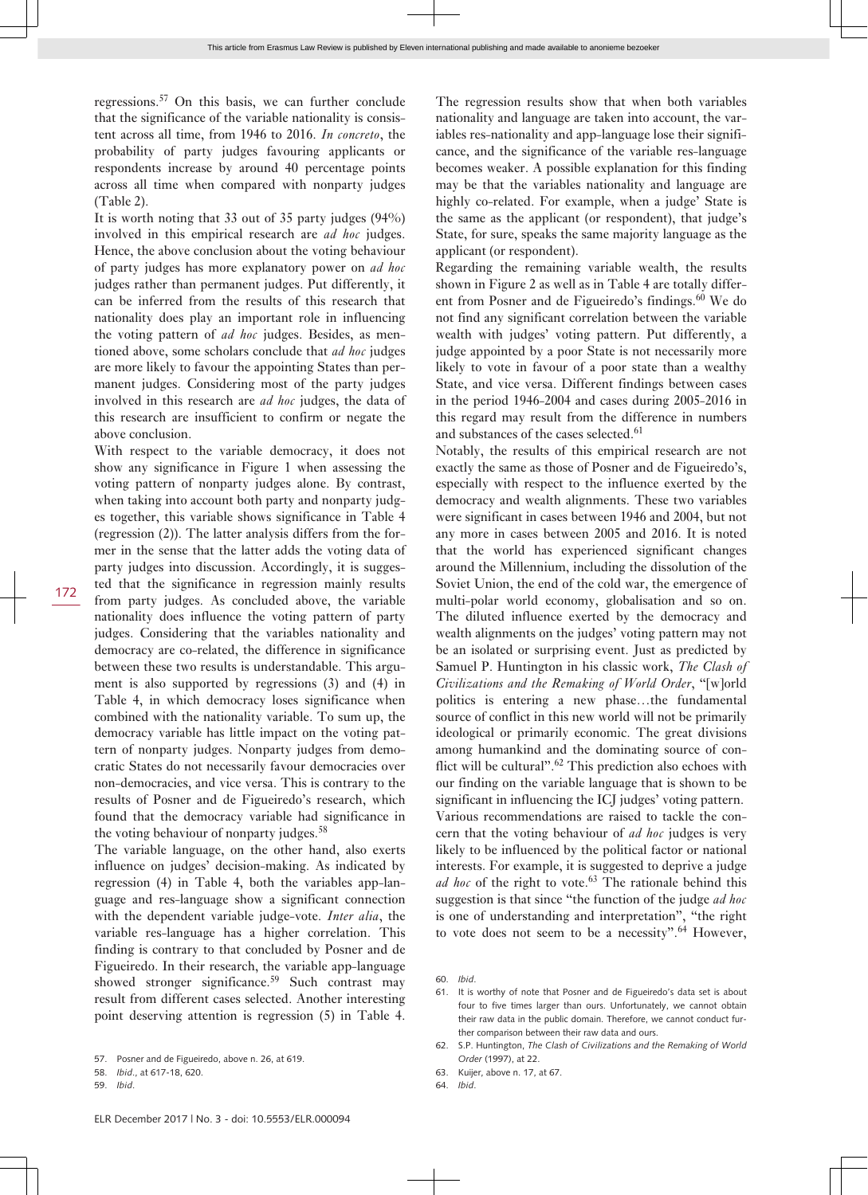regressions.<sup>57</sup> On this basis, we can further conclude that the significance of the variable nationality is consistent across all time, from 1946 to 2016. *In concreto*, the probability of party judges favouring applicants or respondents increase by around 40 percentage points across all time when compared with nonparty judges (Table 2).

It is worth noting that 33 out of 35 party judges (94%) involved in this empirical research are *ad hoc* judges. Hence, the above conclusion about the voting behaviour of party judges has more explanatory power on *ad hoc* judges rather than permanent judges. Put differently, it can be inferred from the results of this research that nationality does play an important role in influencing the voting pattern of *ad hoc* judges. Besides, as mentioned above, some scholars conclude that *ad hoc* judges are more likely to favour the appointing States than permanent judges. Considering most of the party judges involved in this research are *ad hoc* judges, the data of this research are insufficient to confirm or negate the above conclusion.

With respect to the variable democracy, it does not show any significance in Figure 1 when assessing the voting pattern of nonparty judges alone. By contrast, when taking into account both party and nonparty judges together, this variable shows significance in Table 4 (regression (2)). The latter analysis differs from the former in the sense that the latter adds the voting data of party judges into discussion. Accordingly, it is suggested that the significance in regression mainly results from party judges. As concluded above, the variable nationality does influence the voting pattern of party judges. Considering that the variables nationality and democracy are co-related, the difference in significance between these two results is understandable. This argument is also supported by regressions (3) and (4) in Table 4, in which democracy loses significance when combined with the nationality variable. To sum up, the democracy variable has little impact on the voting pattern of nonparty judges. Nonparty judges from democratic States do not necessarily favour democracies over non-democracies, and vice versa. This is contrary to the results of Posner and de Figueiredo's research, which found that the democracy variable had significance in the voting behaviour of nonparty judges.<sup>58</sup>

The variable language, on the other hand, also exerts influence on judges' decision-making. As indicated by regression (4) in Table 4, both the variables app-language and res-language show a significant connection with the dependent variable judge-vote. *Inter alia*, the variable res-language has a higher correlation. This finding is contrary to that concluded by Posner and de Figueiredo. In their research, the variable app-language showed stronger significance.<sup>59</sup> Such contrast may result from different cases selected. Another interesting point deserving attention is regression (5) in Table 4.

59. *Ibid*.

172

their raw data in the public domain. Therefore, we cannot conduct further comparison between their raw data and ours.

> 62. S.P. Huntington, *The Clash of Civilizations and the Remaking of World Order* (1997), at 22.

61. It is worthy of note that Posner and de Figueiredo's data set is about four to five times larger than ours. Unfortunately, we cannot obtain

64. *Ibid*.

60. *Ibid*.

The regression results show that when both variables nationality and language are taken into account, the variables res-nationality and app-language lose their significance, and the significance of the variable res-language becomes weaker. A possible explanation for this finding may be that the variables nationality and language are highly co-related. For example, when a judge' State is the same as the applicant (or respondent), that judge's State, for sure, speaks the same majority language as the applicant (or respondent).

Regarding the remaining variable wealth, the results shown in Figure 2 as well as in Table 4 are totally different from Posner and de Figueiredo's findings.<sup>60</sup> We do not find any significant correlation between the variable wealth with judges' voting pattern. Put differently, a judge appointed by a poor State is not necessarily more likely to vote in favour of a poor state than a wealthy State, and vice versa. Different findings between cases in the period 1946-2004 and cases during 2005-2016 in this regard may result from the difference in numbers and substances of the cases selected.<sup>61</sup>

Notably, the results of this empirical research are not exactly the same as those of Posner and de Figueiredo's, especially with respect to the influence exerted by the democracy and wealth alignments. These two variables were significant in cases between 1946 and 2004, but not any more in cases between 2005 and 2016. It is noted that the world has experienced significant changes around the Millennium, including the dissolution of the Soviet Union, the end of the cold war, the emergence of multi-polar world economy, globalisation and so on. The diluted influence exerted by the democracy and wealth alignments on the judges' voting pattern may not be an isolated or surprising event. Just as predicted by Samuel P. Huntington in his classic work, *The Clash of Civilizations and the Remaking of World Order*, "[w]orld politics is entering a new phase…the fundamental source of conflict in this new world will not be primarily ideological or primarily economic. The great divisions among humankind and the dominating source of conflict will be cultural".<sup>62</sup> This prediction also echoes with our finding on the variable language that is shown to be significant in influencing the ICJ judges' voting pattern. Various recommendations are raised to tackle the concern that the voting behaviour of *ad hoc* judges is very likely to be influenced by the political factor or national interests. For example, it is suggested to deprive a judge *ad hoc* of the right to vote.<sup>63</sup> The rationale behind this suggestion is that since "the function of the judge *ad hoc* is one of understanding and interpretation", "the right to vote does not seem to be a necessity".<sup>64</sup> However,

<sup>57.</sup> Posner and de Figueiredo, above n. 26, at 619.

<sup>58.</sup> *Ibid*., at 617-18, 620.

<sup>63.</sup> Kuijer, above n. 17, at 67.

ELR December 2017 | No. 3 - doi: 10.5553/ELR.000094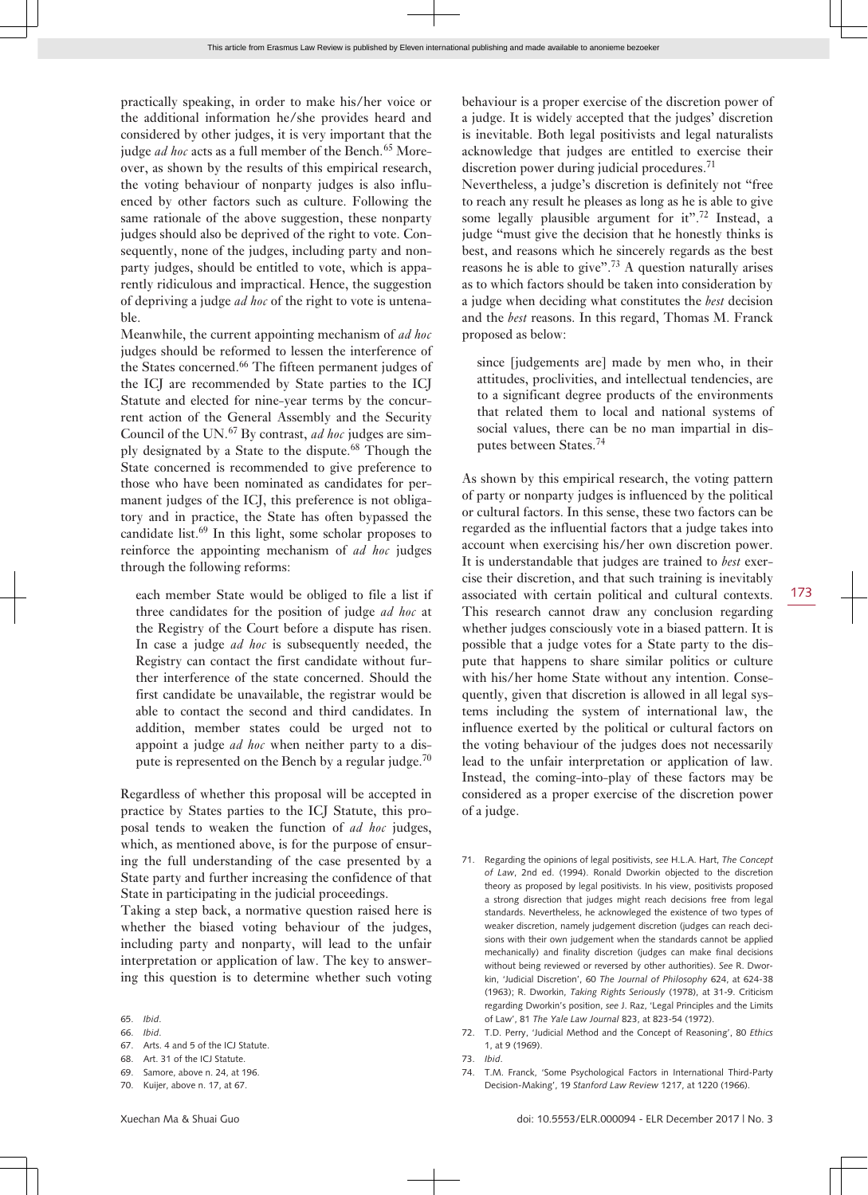practically speaking, in order to make his/her voice or the additional information he/she provides heard and considered by other judges, it is very important that the judge *ad hoc* acts as a full member of the Bench.<sup>65</sup> Moreover, as shown by the results of this empirical research, the voting behaviour of nonparty judges is also influenced by other factors such as culture. Following the same rationale of the above suggestion, these nonparty judges should also be deprived of the right to vote. Consequently, none of the judges, including party and nonparty judges, should be entitled to vote, which is apparently ridiculous and impractical. Hence, the suggestion of depriving a judge *ad hoc* of the right to vote is untena-

Meanwhile, the current appointing mechanism of *ad hoc* judges should be reformed to lessen the interference of the States concerned.<sup>66</sup> The fifteen permanent judges of the ICJ are recommended by State parties to the ICJ Statute and elected for nine-year terms by the concurrent action of the General Assembly and the Security Council of the UN.67 By contrast, *ad hoc* judges are simply designated by a State to the dispute.<sup>68</sup> Though the State concerned is recommended to give preference to those who have been nominated as candidates for permanent judges of the ICJ, this preference is not obligatory and in practice, the State has often bypassed the candidate list.69 In this light, some scholar proposes to reinforce the appointing mechanism of *ad hoc* judges through the following reforms:

each member State would be obliged to file a list if three candidates for the position of judge *ad hoc* at the Registry of the Court before a dispute has risen. In case a judge *ad hoc* is subsequently needed, the Registry can contact the first candidate without further interference of the state concerned. Should the first candidate be unavailable, the registrar would be able to contact the second and third candidates. In addition, member states could be urged not to appoint a judge *ad hoc* when neither party to a dispute is represented on the Bench by a regular judge.<sup>70</sup>

Regardless of whether this proposal will be accepted in practice by States parties to the ICJ Statute, this proposal tends to weaken the function of *ad hoc* judges, which, as mentioned above, is for the purpose of ensuring the full understanding of the case presented by a State party and further increasing the confidence of that State in participating in the judicial proceedings.

Taking a step back, a normative question raised here is whether the biased voting behaviour of the judges, including party and nonparty, will lead to the unfair interpretation or application of law. The key to answering this question is to determine whether such voting

ble.

68. Art. 31 of the ICJ Statute.

70. Kuijer, above n. 17, at 67.

behaviour is a proper exercise of the discretion power of a judge. It is widely accepted that the judges' discretion is inevitable. Both legal positivists and legal naturalists acknowledge that judges are entitled to exercise their discretion power during judicial procedures.<sup>71</sup>

Nevertheless, a judge's discretion is definitely not "free to reach any result he pleases as long as he is able to give some legally plausible argument for it".<sup>72</sup> Instead, a judge "must give the decision that he honestly thinks is best, and reasons which he sincerely regards as the best reasons he is able to give".<sup>73</sup> A question naturally arises as to which factors should be taken into consideration by a judge when deciding what constitutes the *best* decision and the *best* reasons. In this regard, Thomas M. Franck proposed as below:

since [judgements are] made by men who, in their attitudes, proclivities, and intellectual tendencies, are to a significant degree products of the environments that related them to local and national systems of social values, there can be no man impartial in disputes between States.<sup>74</sup>

As shown by this empirical research, the voting pattern of party or nonparty judges is influenced by the political or cultural factors. In this sense, these two factors can be regarded as the influential factors that a judge takes into account when exercising his/her own discretion power. It is understandable that judges are trained to *best* exercise their discretion, and that such training is inevitably associated with certain political and cultural contexts. This research cannot draw any conclusion regarding whether judges consciously vote in a biased pattern. It is possible that a judge votes for a State party to the dispute that happens to share similar politics or culture with his/her home State without any intention. Consequently, given that discretion is allowed in all legal systems including the system of international law, the influence exerted by the political or cultural factors on the voting behaviour of the judges does not necessarily lead to the unfair interpretation or application of law. Instead, the coming-into-play of these factors may be considered as a proper exercise of the discretion power of a judge.

- 71. Regarding the opinions of legal positivists, *see* H.L.A. Hart, *The Concept of Law*, 2nd ed. (1994). Ronald Dworkin objected to the discretion theory as proposed by legal positivists. In his view, positivists proposed a strong disrection that judges might reach decisions free from legal standards. Nevertheless, he acknowleged the existence of two types of weaker discretion, namely judgement discretion (judges can reach decisions with their own judgement when the standards cannot be applied mechanically) and finality discretion (judges can make final decisions without being reviewed or reversed by other authorities). *See* R. Dworkin, 'Judicial Discretion', 60 *The Journal of Philosophy* 624, at 624-38 (1963); R. Dworkin, *Taking Rights Seriously* (1978), at 31-9. Criticism regarding Dworkin's position, *see* J. Raz, 'Legal Principles and the Limits of Law', 81 *The Yale Law Journal* 823, at 823-54 (1972).
- 72. T.D. Perry, 'Judicial Method and the Concept of Reasoning', 80 *Ethics* 1, at 9 (1969).
- 73. *Ibid*.

<sup>65.</sup> *Ibid*.

<sup>66.</sup> *Ibid*.

<sup>67.</sup> Arts. 4 and 5 of the ICJ Statute.

<sup>69.</sup> Samore, above n. 24, at 196.

<sup>74.</sup> T.M. Franck, 'Some Psychological Factors in International Third-Party Decision-Making', 19 *Stanford Law Review* 1217, at 1220 (1966).